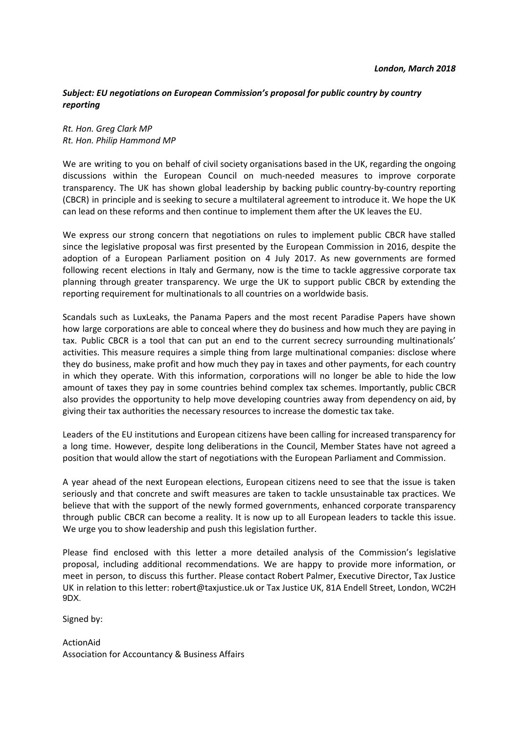## *Subject: EU negotiations on European Commission's proposal for public country by country reporting*

## *Rt. Hon. Greg Clark MP Rt. Hon. Philip Hammond MP*

We are writing to you on behalf of civil society organisations based in the UK, regarding the ongoing discussions within the European Council on much-needed measures to improve corporate transparency. The UK has shown global leadership by backing public country-by-country reporting (CBCR) in principle and is seeking to secure a multilateral agreement to introduce it. We hope the UK can lead on these reforms and then continue to implement them after the UK leaves the EU.

We express our strong concern that negotiations on rules to implement public CBCR have stalled since the legislative proposal was first presented by the European Commission in 2016, despite the adoption of a European Parliament position on 4 July 2017. As new governments are formed following recent elections in Italy and Germany, now is the time to tackle aggressive corporate tax planning through greater transparency. We urge the UK to support public CBCR by extending the reporting requirement for multinationals to all countries on a worldwide basis.

Scandals such as LuxLeaks, the Panama Papers and the most recent Paradise Papers have shown how large corporations are able to conceal where they do business and how much they are paying in tax. Public CBCR is a tool that can put an end to the current secrecy surrounding multinationals' activities. This measure requires a simple thing from large multinational companies: disclose where they do business, make profit and how much they pay in taxes and other payments, for each country in which they operate. With this information, corporations will no longer be able to hide the low amount of taxes they pay in some countries behind complex tax schemes. Importantly, public CBCR also provides the opportunity to help move developing countries away from dependency on aid, by giving their tax authorities the necessary resources to increase the domestic tax take.

Leaders of the EU institutions and European citizens have been calling for increased transparency for a long time. However, despite long deliberations in the Council, Member States have not agreed a position that would allow the start of negotiations with the European Parliament and Commission.

A year ahead of the next European elections, European citizens need to see that the issue is taken seriously and that concrete and swift measures are taken to tackle unsustainable tax practices. We believe that with the support of the newly formed governments, enhanced corporate transparency through public CBCR can become a reality. It is now up to all European leaders to tackle this issue. We urge you to show leadership and push this legislation further.

Please find enclosed with this letter a more detailed analysis of the Commission's legislative proposal, including additional recommendations. We are happy to provide more information, or meet in person, to discuss this further. Please contact Robert Palmer, Executive Director, Tax Justice UK in relation to this letter: robert@taxjustice.uk or Tax Justice UK, 81A Endell Street, London, WC2H 9DX.

Signed by:

ActionAid Association for Accountancy & Business Affairs